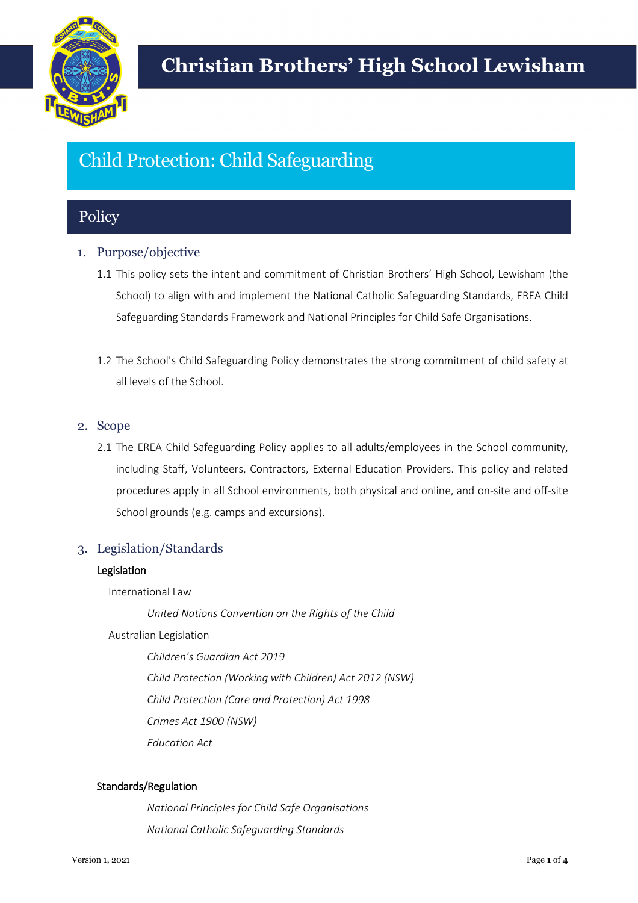

# Child Protection: Child Safeguarding

## **Policy**

## 1. Purpose/objective

- 1.1 This policy sets the intent and commitment of Christian Brothers' High School, Lewisham (the School) to align with and implement the National Catholic Safeguarding Standards, EREA Child Safeguarding Standards Framework and National Principles for Child Safe Organisations.
- 1.2 The School's Child Safeguarding Policy demonstrates the strong commitment of child safety at all levels of the School.

## 2. Scope

2.1 The EREA Child Safeguarding Policy applies to all adults/employees in the School community, including Staff, Volunteers, Contractors, External Education Providers. This policy and related procedures apply in all School environments, both physical and online, and on-site and off-site School grounds (e.g. camps and excursions).

## 3. Legislation/Standards

## Legislation

International Law

*United Nations Convention on the Rights of the Child*

Australian Legislation

*Children's Guardian Act 2019 Child Protection (Working with Children) Act 2012 (NSW) Child Protection (Care and Protection) Act 1998 Crimes Act 1900 (NSW) Education Act* 

## Standards/Regulation

*National Principles for Child Safe Organisations National Catholic Safeguarding Standards*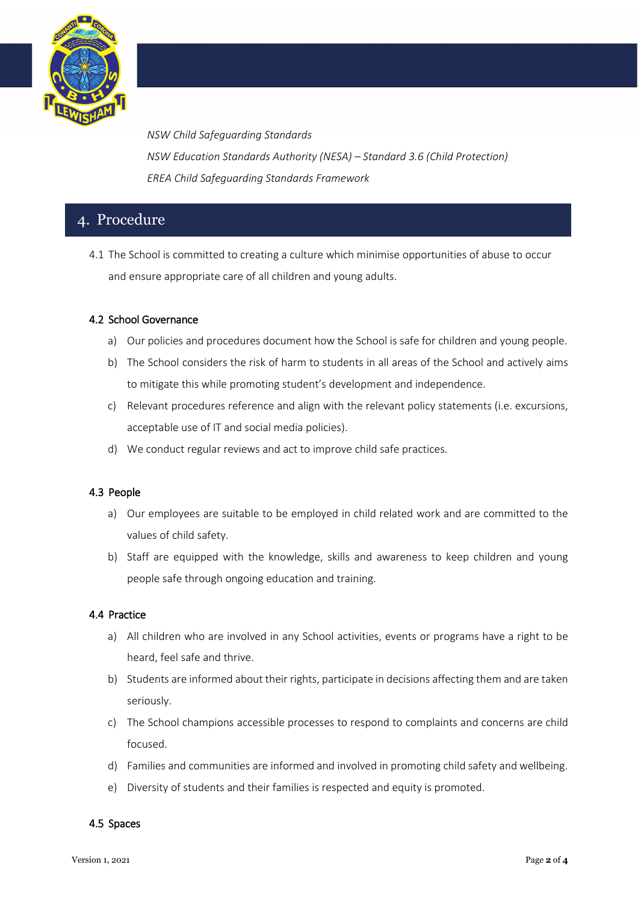

*NSW Child Safeguarding Standards NSW Education Standards Authority (NESA) – Standard 3.6 (Child Protection) EREA Child Safeguarding Standards Framework*

# 4. Procedure

4.1 The School is committed to creating a culture which minimise opportunities of abuse to occur and ensure appropriate care of all children and young adults.

## 4.2 School Governance

- a) Our policies and procedures document how the School is safe for children and young people.
- b) The School considers the risk of harm to students in all areas of the School and actively aims to mitigate this while promoting student's development and independence.
- c) Relevant procedures reference and align with the relevant policy statements (i.e. excursions, acceptable use of IT and social media policies).
- d) We conduct regular reviews and act to improve child safe practices.

## 4.3 People

- a) Our employees are suitable to be employed in child related work and are committed to the values of child safety.
- b) Staff are equipped with the knowledge, skills and awareness to keep children and young people safe through ongoing education and training.

#### 4.4 Practice

- a) All children who are involved in any School activities, events or programs have a right to be heard, feel safe and thrive.
- b) Students are informed about their rights, participate in decisions affecting them and are taken seriously.
- c) The School champions accessible processes to respond to complaints and concerns are child focused.
- d) Families and communities are informed and involved in promoting child safety and wellbeing.
- e) Diversity of students and their families is respected and equity is promoted.

#### 4.5 Spaces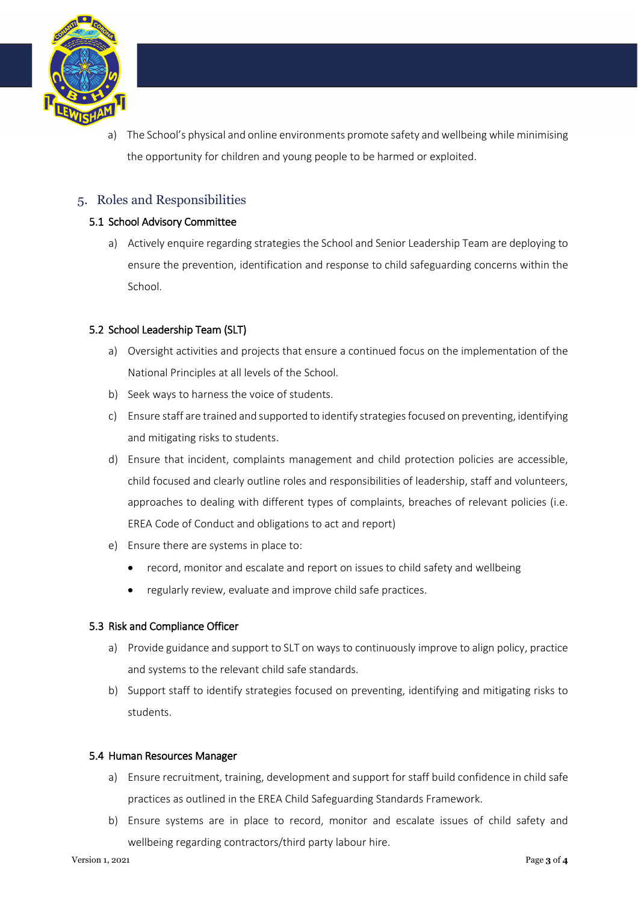

a) The School's physical and online environments promote safety and wellbeing while minimising the opportunity for children and young people to be harmed or exploited.

## 5. Roles and Responsibilities

## 5.1 School Advisory Committee

a) Actively enquire regarding strategies the School and Senior Leadership Team are deploying to ensure the prevention, identification and response to child safeguarding concerns within the School.

## 5.2 School Leadership Team (SLT)

- a) Oversight activities and projects that ensure a continued focus on the implementation of the National Principles at all levels of the School.
- b) Seek ways to harness the voice of students.
- c) Ensure staff are trained and supported to identify strategies focused on preventing, identifying and mitigating risks to students.
- d) Ensure that incident, complaints management and child protection policies are accessible, child focused and clearly outline roles and responsibilities of leadership, staff and volunteers, approaches to dealing with different types of complaints, breaches of relevant policies (i.e. EREA Code of Conduct and obligations to act and report)
- e) Ensure there are systems in place to:
	- record, monitor and escalate and report on issues to child safety and wellbeing
	- regularly review, evaluate and improve child safe practices.

## 5.3 Risk and Compliance Officer

- a) Provide guidance and support to SLT on ways to continuously improve to align policy, practice and systems to the relevant child safe standards.
- b) Support staff to identify strategies focused on preventing, identifying and mitigating risks to students.

## 5.4 Human Resources Manager

- a) Ensure recruitment, training, development and support for staff build confidence in child safe practices as outlined in the EREA Child Safeguarding Standards Framework.
- b) Ensure systems are in place to record, monitor and escalate issues of child safety and wellbeing regarding contractors/third party labour hire.